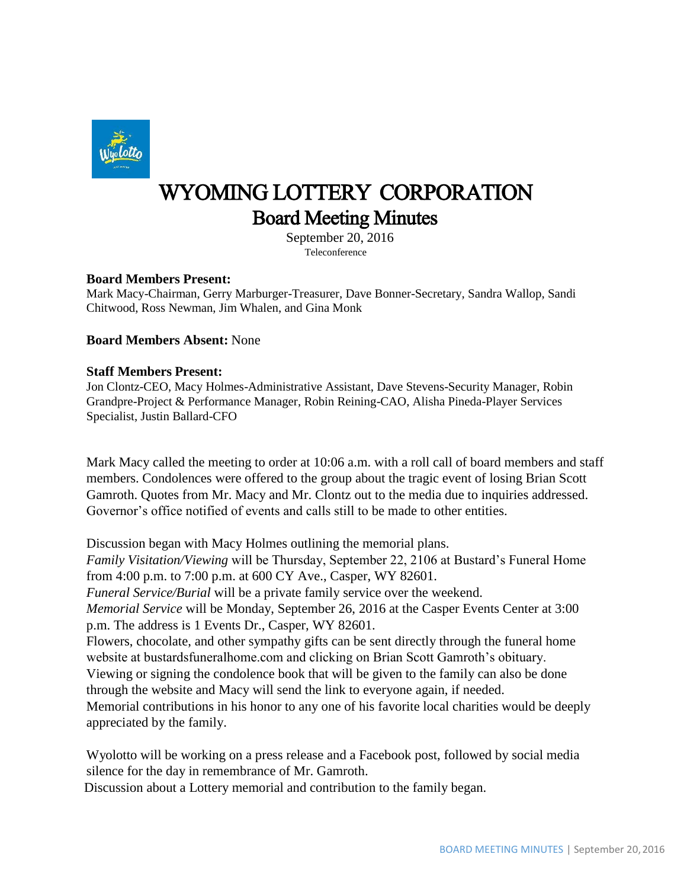

## WYOMING LOTTERY CORPORATION Board Meeting Minutes

 September 20, 2016 Teleconference

## **Board Members Present:**

Mark Macy-Chairman, Gerry Marburger-Treasurer, Dave Bonner-Secretary, Sandra Wallop, Sandi Chitwood, Ross Newman, Jim Whalen, and Gina Monk

**Board Members Absent:** None

## **Staff Members Present:**

Jon Clontz-CEO, Macy Holmes-Administrative Assistant, Dave Stevens-Security Manager, Robin Grandpre-Project & Performance Manager, Robin Reining-CAO, Alisha Pineda-Player Services Specialist, Justin Ballard-CFO

Mark Macy called the meeting to order at 10:06 a.m. with a roll call of board members and staff members. Condolences were offered to the group about the tragic event of losing Brian Scott Gamroth. Quotes from Mr. Macy and Mr. Clontz out to the media due to inquiries addressed. Governor's office notified of events and calls still to be made to other entities.

Discussion began with Macy Holmes outlining the memorial plans. *Family Visitation/Viewing* will be Thursday, September 22, 2106 at Bustard's Funeral Home from 4:00 p.m. to 7:00 p.m. at 600 CY Ave., Casper, WY 82601. *Funeral Service/Burial* will be a private family service over the weekend. *Memorial Service* will be Monday, September 26, 2016 at the Casper Events Center at 3:00 p.m. The address is 1 Events Dr., Casper, WY 82601. Flowers, chocolate, and other sympathy gifts can be sent directly through the funeral home website at bustardsfuneralhome.com and clicking on Brian Scott Gamroth's obituary. Viewing or signing the condolence book that will be given to the family can also be done through the website and Macy will send the link to everyone again, if needed. Memorial contributions in his honor to any one of his favorite local charities would be deeply appreciated by the family.

Wyolotto will be working on a press release and a Facebook post, followed by social media silence for the day in remembrance of Mr. Gamroth.

Discussion about a Lottery memorial and contribution to the family began.